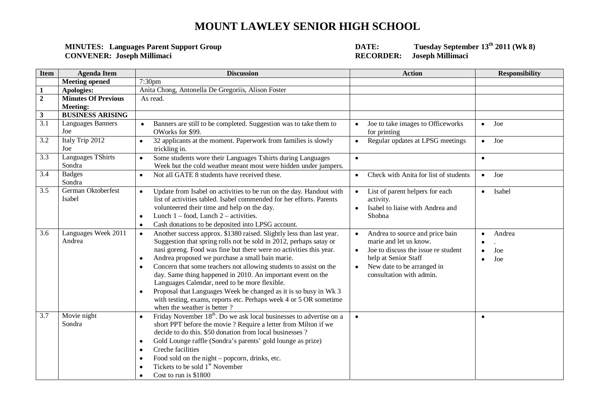## **MOUNT LAWLEY SENIOR HIGH SCHOOL**

## **CONVENER: Joseph Millimaci RECORDER: Joseph Millimaci**

**MINUTE:** Tuesday September 13<sup>th</sup> 2011 (Wk 8)<br>RECORDER: Joseph Millimaci

| <b>Item</b>      | <b>Agenda Item</b>            | <b>Discussion</b>                                                                                                                                                                                                                                                                                                                                                                                                                                                                                                                                                                                                                                          | <b>Action</b>                                                                                                                                                                                                             | <b>Responsibility</b> |
|------------------|-------------------------------|------------------------------------------------------------------------------------------------------------------------------------------------------------------------------------------------------------------------------------------------------------------------------------------------------------------------------------------------------------------------------------------------------------------------------------------------------------------------------------------------------------------------------------------------------------------------------------------------------------------------------------------------------------|---------------------------------------------------------------------------------------------------------------------------------------------------------------------------------------------------------------------------|-----------------------|
|                  | <b>Meeting opened</b>         | 7:30 <sub>pm</sub>                                                                                                                                                                                                                                                                                                                                                                                                                                                                                                                                                                                                                                         |                                                                                                                                                                                                                           |                       |
| $\mathbf{1}$     | Apologies:                    | Anita Chong, Antonella De Gregoriis, Alison Foster                                                                                                                                                                                                                                                                                                                                                                                                                                                                                                                                                                                                         |                                                                                                                                                                                                                           |                       |
| $\overline{2}$   | <b>Minutes Of Previous</b>    | As read.                                                                                                                                                                                                                                                                                                                                                                                                                                                                                                                                                                                                                                                   |                                                                                                                                                                                                                           |                       |
|                  | <b>Meeting:</b>               |                                                                                                                                                                                                                                                                                                                                                                                                                                                                                                                                                                                                                                                            |                                                                                                                                                                                                                           |                       |
| $\mathbf{3}$     | <b>BUSINESS ARISING</b>       |                                                                                                                                                                                                                                                                                                                                                                                                                                                                                                                                                                                                                                                            |                                                                                                                                                                                                                           |                       |
| $\overline{3.1}$ | Languages Banners             | Banners are still to be completed. Suggestion was to take them to<br>$\bullet$                                                                                                                                                                                                                                                                                                                                                                                                                                                                                                                                                                             | Joe to take images to Officeworks<br>$\bullet$                                                                                                                                                                            | Joe<br>$\bullet$      |
|                  | Joe                           | OWorks for \$99.                                                                                                                                                                                                                                                                                                                                                                                                                                                                                                                                                                                                                                           | for printing                                                                                                                                                                                                              |                       |
| 3.2              | Italy Trip 2012               | 32 applicants at the moment. Paperwork from families is slowly<br>$\bullet$                                                                                                                                                                                                                                                                                                                                                                                                                                                                                                                                                                                | Regular updates at LPSG meetings<br>$\bullet$                                                                                                                                                                             | Joe<br>$\bullet$      |
|                  | Joe                           | trickling in.                                                                                                                                                                                                                                                                                                                                                                                                                                                                                                                                                                                                                                              |                                                                                                                                                                                                                           |                       |
| 3.3              | Languages TShirts             | Some students wore their Languages Tshirts during Languages<br>$\bullet$                                                                                                                                                                                                                                                                                                                                                                                                                                                                                                                                                                                   | $\bullet$                                                                                                                                                                                                                 | $\bullet$             |
|                  | Sondra                        | Week but the cold weather meant most were hidden under jumpers.                                                                                                                                                                                                                                                                                                                                                                                                                                                                                                                                                                                            |                                                                                                                                                                                                                           |                       |
| 3.4              | <b>Badges</b><br>Sondra       | Not all GATE 8 students have received these.<br>$\bullet$                                                                                                                                                                                                                                                                                                                                                                                                                                                                                                                                                                                                  | Check with Anita for list of students<br>$\bullet$                                                                                                                                                                        | Joe<br>$\bullet$      |
| 3.5              | German Oktoberfest<br>Isabel  | Update from Isabel on activities to be run on the day. Handout with<br>$\bullet$<br>list of activities tabled. Isabel commended for her efforts. Parents<br>volunteered their time and help on the day.<br>Lunch $1 -$ food, Lunch $2 -$ activities.<br>$\bullet$<br>Cash donations to be deposited into LPSG account.<br>$\bullet$                                                                                                                                                                                                                                                                                                                        | List of parent helpers for each<br>$\bullet$<br>activity.<br>Isabel to liaise with Andrea and<br>$\bullet$<br>Shobna                                                                                                      | Isabel<br>$\bullet$   |
| 3.6              | Languages Week 2011<br>Andrea | Another success approx. \$1380 raised. Slightly less than last year.<br>$\bullet$<br>Suggestion that spring rolls not be sold in 2012, perhaps satay or<br>nasi goreng. Food was fine but there were no activities this year.<br>Andrea proposed we purchase a small bain marie.<br>$\bullet$<br>Concern that some teachers not allowing students to assist on the<br>day. Same thing happened in 2010. An important event on the<br>Languages Calendar, need to be more flexible.<br>Proposal that Languages Week be changed as it is so busy in Wk 3<br>with testing, exams, reports etc. Perhaps week 4 or 5 OR sometime<br>when the weather is better? | Andrea to source and price bain<br>$\bullet$<br>marie and let us know.<br>Joe to discuss the issue re student<br>$\bullet$<br>help at Senior Staff<br>New date to be arranged in<br>$\bullet$<br>consultation with admin. | Andrea<br>Joe<br>Joe  |
| 3.7              | Movie night<br>Sondra         | Friday November 18 <sup>th</sup> . Do we ask local businesses to advertise on a<br>short PPT before the movie ? Require a letter from Milton if we<br>decide to do this. \$50 donation from local businesses?<br>Gold Lounge raffle (Sondra's parents' gold lounge as prize)<br>$\bullet$<br>Creche facilities<br>٠<br>Food sold on the night – popcorn, drinks, etc.<br>٠<br>Tickets to be sold 1 <sup>st</sup> November<br>Cost to run is \$1800                                                                                                                                                                                                         | $\bullet$                                                                                                                                                                                                                 | $\bullet$             |